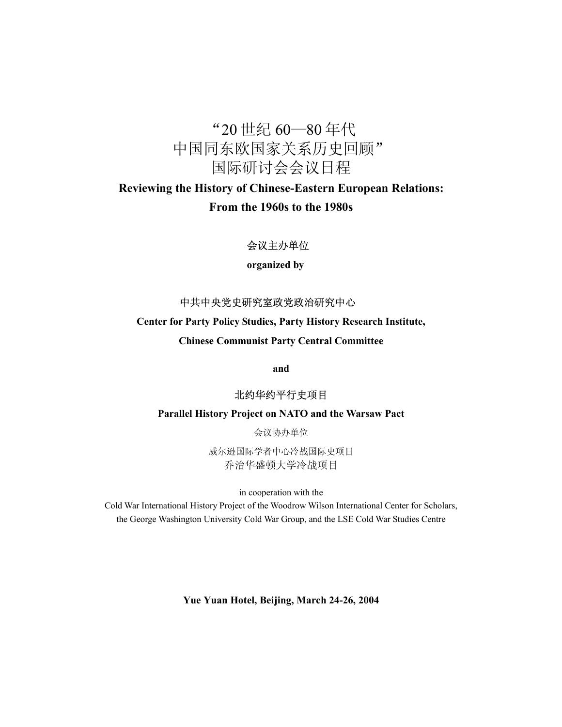## "20 世纪 60—80 年代 中国同东欧国家关系历史回顾" 国际研讨会会议日程

## **Reviewing the History of Chinese-Eastern European Relations: From the 1960s to the 1980s**

## 会议主办单位

**organized by** 

## 中共中央党史研究室政党政治研究中心

## **Center for Party Policy Studies, Party History Research Institute,**

**Chinese Communist Party Central Committee** 

**and** 

## 北约华约平行史项目

#### **Parallel History Project on NATO and the Warsaw Pact**

会议协办单位

威尔逊国际学者中心冷战国际史项目 乔治华盛顿大学冷战项目

in cooperation with the

Cold War International History Project of the Woodrow Wilson International Center for Scholars, the George Washington University Cold War Group, and the LSE Cold War Studies Centre

**Yue Yuan Hotel, Beijing, March 24-26, 2004**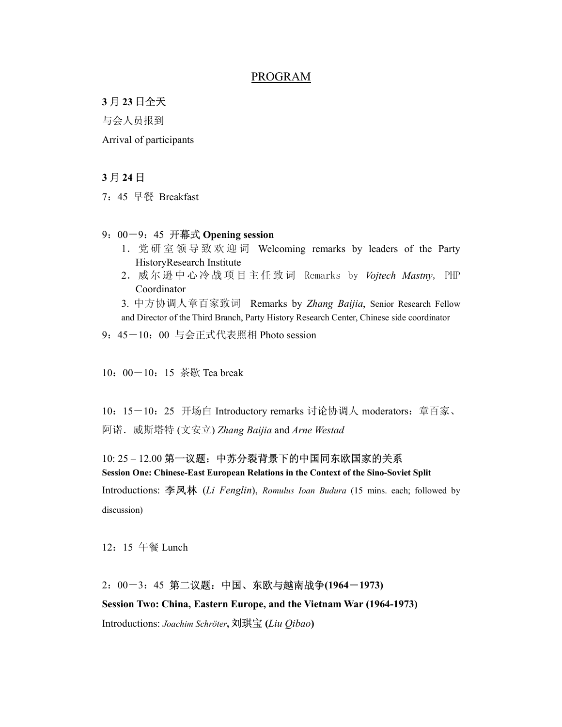#### PROGRAM

#### **3** 月 **23** 日全天

与会人员报到

Arrival of participants

#### **3** 月 **24** 日

7:45 早餐 Breakfast

#### 9:00-9:45 开幕式 **Opening session**

- 1.党研室领导致欢迎词 Welcoming remarks by leaders of the Party HistoryResearch Institute
- 2.威 尔 逊 中 心 冷 战 项 目 主 任 致 词 Remarks by *Vojtech Mastny*, PHP Coordinator

3. 中方协调人章百家致词 Remarks by *Zhang Baijia*, Senior Research Fellow and Director of the Third Branch, Party History Research Center, Chinese side coordinator

9:45-10:00 与会正式代表照相 Photo session

10: 00-10: 15 茶歇 Tea break

10: 15-10: 25 开场白 Introductory remarks 讨论协调人 moderators: 章百家、 阿诺.威斯塔特 (文安立) *Zhang Baijia* and *Arne Westad*

#### 10: 25 – 12.00 第一议题:中苏分裂背景下的中国同东欧国家的关系

**Session One: Chinese-East European Relations in the Context of the Sino-Soviet Split**  Introductions: 李凤林 (*Li Fenglin*), *Romulus Ioan Budura* (15 mins. each; followed by discussion)

12:15 午餐 Lunch

# 2:00-3:45 第二议题:中国、东欧与越南战争**(1964**-**1973)**

**Session Two: China, Eastern Europe, and the Vietnam War (1964-1973)** 

Introductions: *Joachim Schröter***,** 刘琪宝 **(***Liu Qibao***)**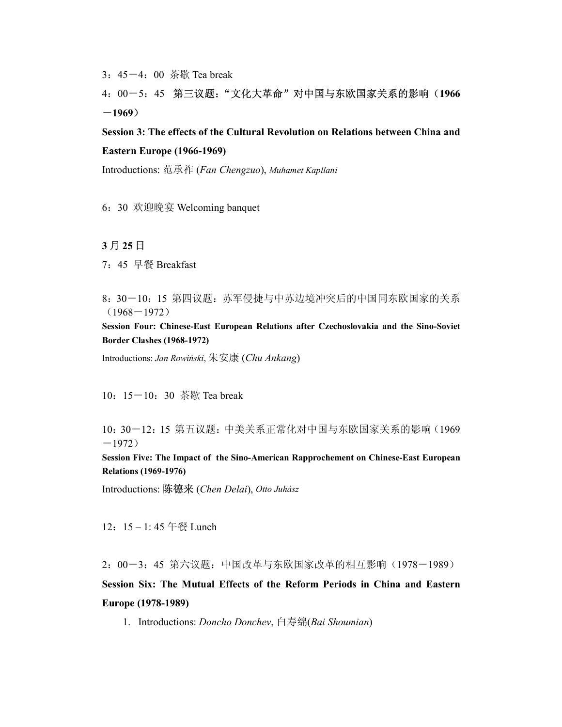3:45-4:00 茶歇 Tea break

## 4:00-5:45 第三议题:"文化大革命"对中国与东欧国家关系的影响(**1966** -**1969**)

**Session 3: The effects of the Cultural Revolution on Relations between China and Eastern Europe (1966-1969)** 

Introductions: 范承祚 (*Fan Chengzuo*), *Muhamet Kapllani*

6:30 欢迎晚宴 Welcoming banquet

#### **3** 月 **25** 日

7:45 早餐 Breakfast

8:30-10:15 第四议题:苏军侵捷与中苏边境冲突后的中国同东欧国家的关系  $(1968 - 1972)$ 

**Session Four: Chinese-East European Relations after Czechoslovakia and the Sino-Soviet Border Clashes (1968-1972)**

Introductions: *Jan Rowiński*, 朱安康 (*Chu Ankang*)

10:15-10:30 茶歇 Tea break

10:30-12:15 第五议题:中美关系正常化对中国与东欧国家关系的影响(1969  $-1972)$ 

**Session Five: The Impact of the Sino-American Rapprochement on Chinese-East European Relations (1969-1976)** 

Introductions: 陈德来 (*Chen Delai*), *Otto Juhász*

12: 15-1:45 午餐 Lunch

2:00-3:45 第六议题:中国改革与东欧国家改革的相互影响(1978-1989) **Session Six: The Mutual Effects of the Reform Periods in China and Eastern Europe (1978-1989)** 

1. Introductions: *Doncho Donchev*, 白寿绵(*Bai Shoumian*)